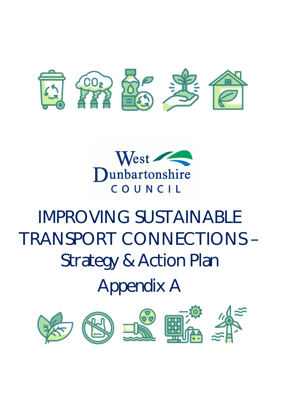



# IMPROVING SUSTAINABLE TRANSPORT CONNECTIONS – Strategy & Action Plan Appendix A

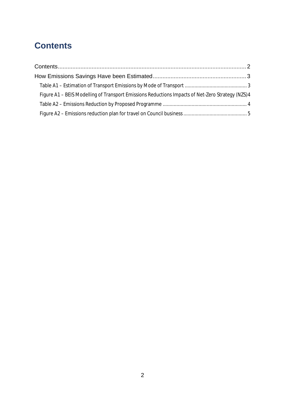## **Contents**

| Figure A1 – BEIS Modelling of Transport Emissions Reductions Impacts of Net-Zero Strategy (NZS)4 |  |
|--------------------------------------------------------------------------------------------------|--|
|                                                                                                  |  |
|                                                                                                  |  |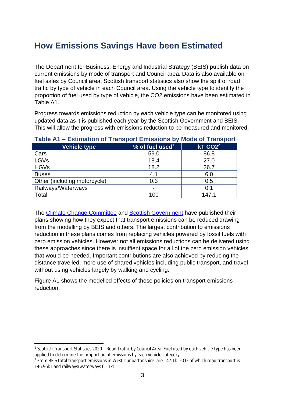## **How Emissions Savings Have been Estimated**

The Department for Business, Energy and Industrial Strategy (BEIS) publish data on current emissions by mode of transport and Council area. Data is also available on fuel sales by Council area. Scottish transport statistics also show the split of road traffic by type of vehicle in each Council area. Using the vehicle type to identify the proportion of fuel used by type of vehicle, the CO2 emissions have been estimated in Table A1.

Progress towards emissions reduction by each vehicle type can be monitored using updated data as it is published each year by the Scottish Government and BEIS. This will allow the progress with emissions reduction to be measured and monitored.

| .<br>$\blacksquare$         |               |  |  |
|-----------------------------|---------------|--|--|
| % of fuel used <sup>1</sup> | $kT$ CO $2^2$ |  |  |
| 59.0                        | 86.8          |  |  |
| 18.4                        | 27.0          |  |  |
| 18.2                        | 26.7          |  |  |
| 4.1                         | 6.0           |  |  |
| 0.3                         | 0.5           |  |  |
|                             | 0.1           |  |  |
| 100                         | 147.1         |  |  |
|                             |               |  |  |

### **Table A1 – Estimation of Transport Emissions by Mode of Transport**

The Climate Change Committee and Scottish Government have published their plans showing how they expect that transport emissions can be reduced drawing from the modelling by BEIS and others. The largest contribution to emissions reduction in these plans comes from replacing vehicles powered by fossil fuels with zero emission vehicles. However not all emissions reductions can be delivered using these approaches since there is insuffient space for all of the zero emission vehicles that would be needed. Important contributions are also achieved by reducing the distance travelled, more use of shared vehicles including public transport, and travel without using vehicles largely by walking and cycling.

Figure A1 shows the modelled effects of these policies on transport emissions reduction.

<sup>&</sup>lt;sup>1</sup> Scottish Transport Statistics 2020 – Road Traffic by Council Area. Fuel used by each vehicle type has been applied to determine the proportion of emissions by each vehicle category.

<sup>2</sup> From BEIS total transport emissions in West Dunbartonshire are 147.1kT CO2 of which road transport is 146.96kT and railways/waterways 0.11kT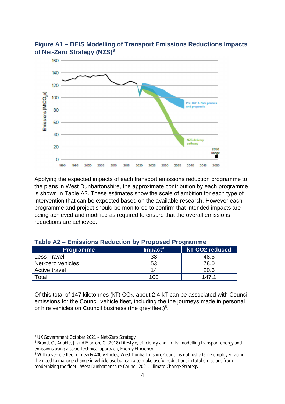

#### **Figure A1 – BEIS Modelling of Transport Emissions Reductions Impacts of Net-Zero Strategy (NZS)<sup>3</sup>**

Applying the expected impacts of each transport emissions reduction programme to the plans in West Dunbartonshire, the approximate contribution by each programme is shown in Table A2. These estimates show the scale of ambition for each type of intervention that can be expected based on the available research. However each programme and project should be monitored to confirm that intended impacts are being achieved and modified as required to ensure that the overall emissions reductions are achieved.

| <b>Programme</b>   | $Im$ pact <sup>4</sup> | <b>kT CO2 reduced</b> |
|--------------------|------------------------|-----------------------|
| <b>Less Travel</b> | 33                     | 48.5                  |
| Net-zero vehicles  | 53                     | 78.0                  |
| Active travel      | 14                     | 20.6                  |
| Гоtal              | 100                    |                       |

#### **Table A2 – Emissions Reduction by Proposed Programme**

Of this total of 147 kilotonnes (kT) CO<sub>2</sub>, about 2.4 kT can be associated with Council emissions for the Council vehicle fleet, including the the journeys made in personal or hire vehicles on Council business (the grey fleet)<sup>5</sup>.

<sup>3</sup> UK Government October 2021 – Net-Zero Strategy

<sup>4</sup> Brand, C., Anable, J. and Morton, C. (2018) Lifestyle, efficiency and limits: modelling transport energy and emissions using a socio-technical approach, Energy Efficiency

<sup>&</sup>lt;sup>5</sup> With a vehicle fleet of nearly 400 vehicles, West Dunbartonshire Council is not just a large employer facing the need to manage change in vehicle use but can also make useful reductions in total emissions from modernizing the fleet - West Dunbartonshire Council 2021. Climate Change Strategy